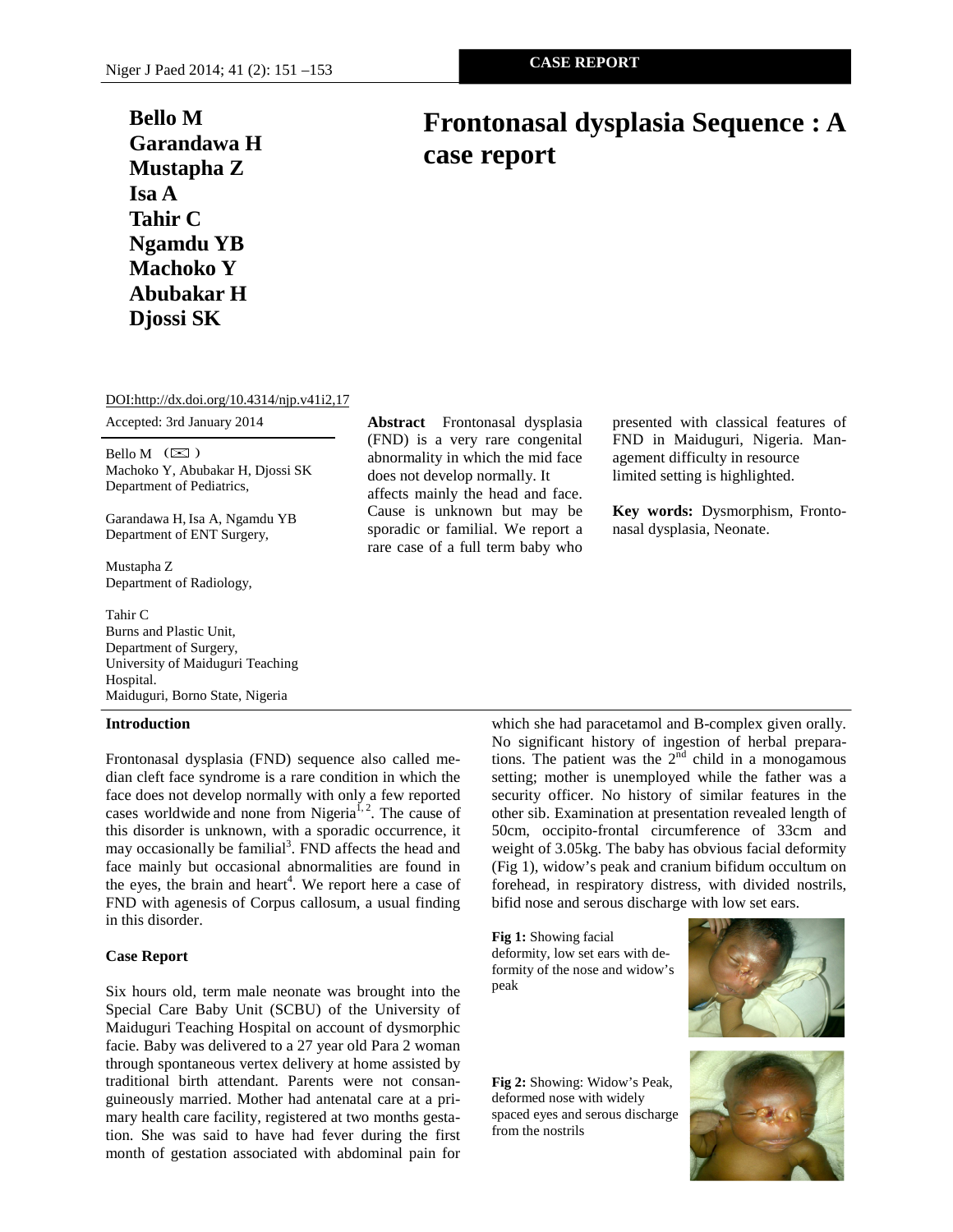## **Bello M Garandawa H Mustapha Z Isa A Tahir C Ngamdu YB Machoko Y Abubakar H Djossi SK**

# **Frontonasal dysplasia Sequence : A case report**

DOI:http://dx.doi.org/10.4314/njp.v41i2,17

Accepted: 3rd January 2014

Bello M  $(\boxtimes)$ Machoko Y, Abubakar H, Djossi SK Department of Pediatrics,

Garandawa H, Isa A, Ngamdu YB Department of ENT Surgery,

Mustapha Z Department of Radiology,

Tahir C Burns and Plastic Unit, Department of Surgery, University of Maiduguri Teaching Hospital. Maiduguri, Borno State, Nigeria

### **Introduction**

Frontonasal dysplasia (FND) sequence also called median cleft face syndrome is a rare condition in which the face does not develop normally with only a few reported cases worldwide and none from Nigeria<sup>1, 2</sup>. The cause of this disorder is unknown, with a sporadic occurrence, it may occasionally be familial<sup>3</sup>. FND affects the head and face mainly but occasional abnormalities are found in the eyes, the brain and heart<sup>4</sup>. We report here a case of FND with agenesis of Corpus callosum, a usual finding in this disorder.

### **Case Report**

Six hours old, term male neonate was brought into the Special Care Baby Unit (SCBU) of the University of Maiduguri Teaching Hospital on account of dysmorphic facie. Baby was delivered to a 27 year old Para 2 woman through spontaneous vertex delivery at home assisted by traditional birth attendant. Parents were not consanguineously married. Mother had antenatal care at a primary health care facility, registered at two months gestation. She was said to have had fever during the first month of gestation associated with abdominal pain for

**Abstract** Frontonasal dysplasia (FND) is a very rare congenital abnormality in which the mid face does not develop normally. It affects mainly the head and face. Cause is unknown but may be sporadic or familial. We report a rare case of a full term baby who presented with classical features of FND in Maiduguri, Nigeria. Management difficulty in resource limited setting is highlighted.

**Key words:** Dysmorphism, Frontonasal dysplasia, Neonate.

which she had paracetamol and B-complex given orally. No significant history of ingestion of herbal preparations. The patient was the  $2<sup>nd</sup>$  child in a monogamous setting; mother is unemployed while the father was a security officer. No history of similar features in the other sib. Examination at presentation revealed length of 50cm, occipito-frontal circumference of 33cm and weight of 3.05kg. The baby has obvious facial deformity (Fig 1), widow's peak and cranium bifidum occultum on forehead, in respiratory distress, with divided nostrils, bifid nose and serous discharge with low set ears.

**Fig 1:** Showing facial deformity, low set ears with deformity of the nose and widow's peak



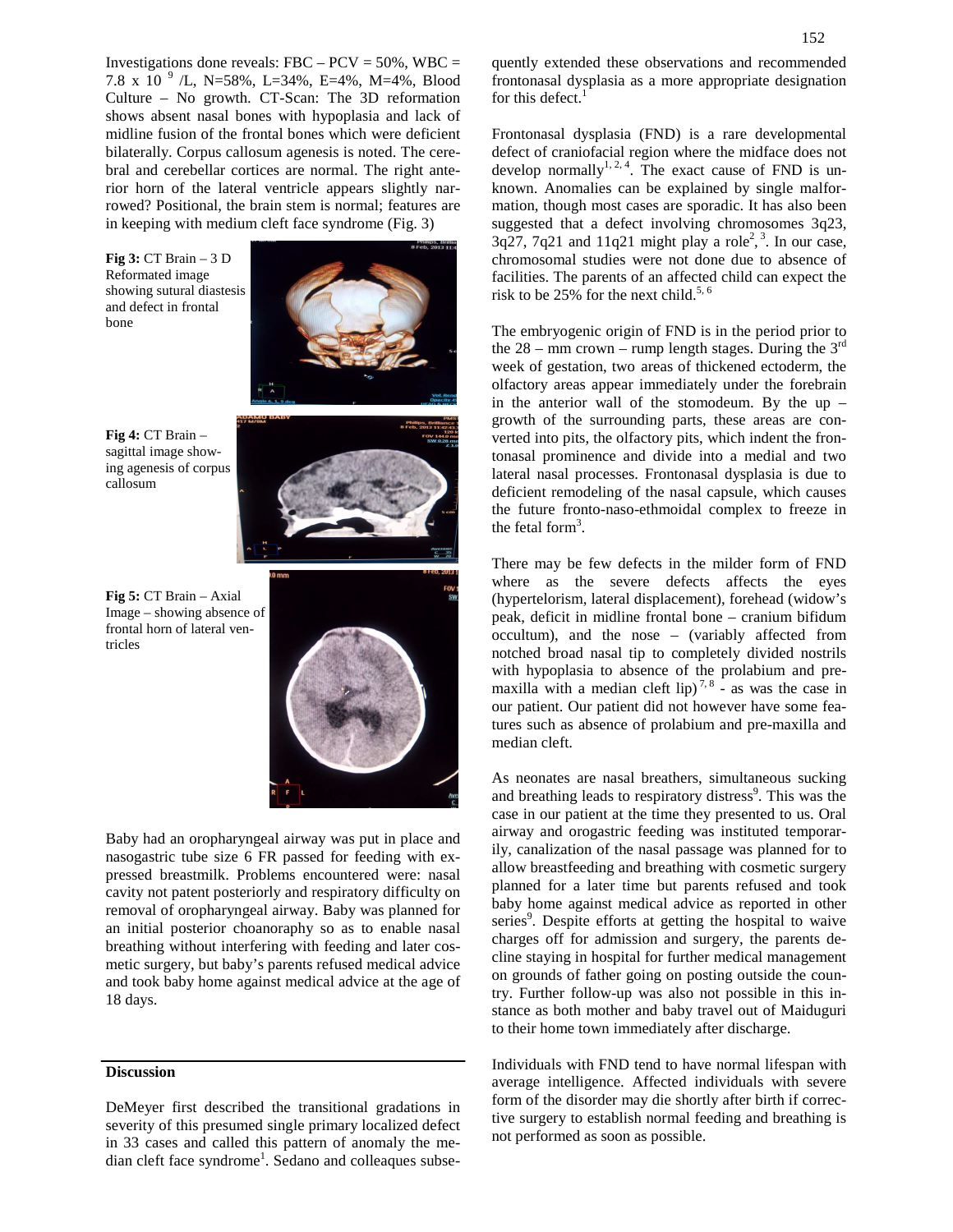Investigations done reveals: FBC –  $PCV = 50\%$ , WBC = 7.8 x 10 <sup>9</sup> /L, N=58%, L=34%, E=4%, M=4%, Blood Culture – No growth. CT-Scan: The 3D reformation shows absent nasal bones with hypoplasia and lack of midline fusion of the frontal bones which were deficient bilaterally. Corpus callosum agenesis is noted. The cerebral and cerebellar cortices are normal. The right anterior horn of the lateral ventricle appears slightly narrowed? Positional, the brain stem is normal; features are in keeping with medium cleft face syndrome (Fig. 3)

**Fig 3:** CT Brain – 3 D Reformated image showing sutural diastesis and defect in frontal bone



**Fig 4:** CT Brain – sagittal image showing agenesis of corpus callosum



**Fig 5:** CT Brain – Axial Image – showing absence of frontal horn of lateral ventricles



Baby had an oropharyngeal airway was put in place and nasogastric tube size 6 FR passed for feeding with expressed breastmilk. Problems encountered were: nasal cavity not patent posteriorly and respiratory difficulty on removal of oropharyngeal airway. Baby was planned for an initial posterior choanoraphy so as to enable nasal breathing without interfering with feeding and later cosmetic surgery, but baby's parents refused medical advice and took baby home against medical advice at the age of 18 days.

#### **Discussion**

DeMeyer first described the transitional gradations in severity of this presumed single primary localized defect in 33 cases and called this pattern of anomaly the median cleft face syndrome<sup>1</sup>. Sedano and colleaques subsequently extended these observations and recommended frontonasal dysplasia as a more appropriate designation for this defect.<sup>1</sup>

Frontonasal dysplasia (FND) is a rare developmental defect of craniofacial region where the midface does not develop normally<sup>1, 2, 4</sup>. The exact cause of FND is unknown. Anomalies can be explained by single malformation, though most cases are sporadic. It has also been suggested that a defect involving chromosomes 3q23,  $3q27$ ,  $7q21$  and  $11q21$  might play a role<sup>2</sup>,<sup>3</sup>. In our case, chromosomal studies were not done due to absence of facilities. The parents of an affected child can expect the risk to be  $25\%$  for the next child.<sup>5, 6</sup>

The embryogenic origin of FND is in the period prior to the  $28 - \text{mm}$  crown – rump length stages. During the  $3^{\text{rd}}$ week of gestation, two areas of thickened ectoderm, the olfactory areas appear immediately under the forebrain in the anterior wall of the stomodeum. By the up  $$ growth of the surrounding parts, these areas are converted into pits, the olfactory pits, which indent the frontonasal prominence and divide into a medial and two lateral nasal processes. Frontonasal dysplasia is due to deficient remodeling of the nasal capsule, which causes the future fronto-naso-ethmoidal complex to freeze in the fetal form<sup>3</sup>.

There may be few defects in the milder form of FND where as the severe defects affects the eyes (hypertelorism, lateral displacement), forehead (widow's peak, deficit in midline frontal bone – cranium bifidum occultum), and the nose – (variably affected from notched broad nasal tip to completely divided nostrils with hypoplasia to absence of the prolabium and premaxilla with a median cleft lip)<sup>7,8</sup> - as was the case in our patient. Our patient did not however have some features such as absence of prolabium and pre-maxilla and median cleft.

As neonates are nasal breathers, simultaneous sucking and breathing leads to respiratory distress<sup>9</sup>. This was the case in our patient at the time they presented to us. Oral airway and orogastric feeding was instituted temporarily, canalization of the nasal passage was planned for to allow breastfeeding and breathing with cosmetic surgery planned for a later time but parents refused and took baby home against medical advice as reported in other series<sup>9</sup>. Despite efforts at getting the hospital to waive charges off for admission and surgery, the parents decline staying in hospital for further medical management on grounds of father going on posting outside the country. Further follow-up was also not possible in this instance as both mother and baby travel out of Maiduguri to their home town immediately after discharge.

Individuals with FND tend to have normal lifespan with average intelligence. Affected individuals with severe form of the disorder may die shortly after birth if corrective surgery to establish normal feeding and breathing is not performed as soon as possible.